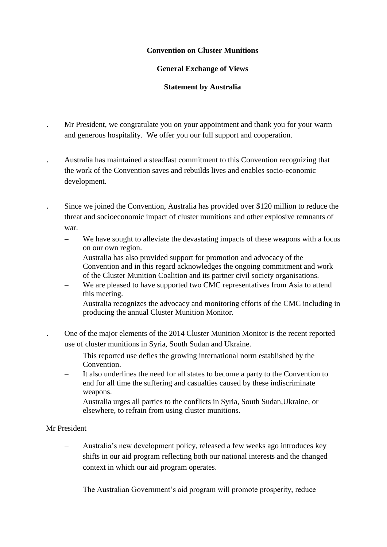# **Convention on Cluster Munitions**

## **General Exchange of Views**

# **Statement by Australia**

- Mr President, we congratulate you on your appointment and thank you for your warm and generous hospitality. We offer you our full support and cooperation.
- Australia has maintained a steadfast commitment to this Convention recognizing that the work of the Convention saves and rebuilds lives and enables socio-economic development.
- Since we joined the Convention, Australia has provided over \$120 million to reduce the threat and socioeconomic impact of cluster munitions and other explosive remnants of war.
	- We have sought to alleviate the devastating impacts of these weapons with a focus on our own region.
	- Australia has also provided support for promotion and advocacy of the Convention and in this regard acknowledges the ongoing commitment and work of the Cluster Munition Coalition and its partner civil society organisations.
	- We are pleased to have supported two CMC representatives from Asia to attend this meeting.
	- Australia recognizes the advocacy and monitoring efforts of the CMC including in producing the annual Cluster Munition Monitor.
	- One of the major elements of the 2014 Cluster Munition Monitor is the recent reported use of cluster munitions in Syria, South Sudan and Ukraine.
		- This reported use defies the growing international norm established by the Convention.
		- It also underlines the need for all states to become a party to the Convention to end for all time the suffering and casualties caused by these indiscriminate weapons.
		- Australia urges all parties to the conflicts in Syria, South Sudan,Ukraine, or elsewhere, to refrain from using cluster munitions.

### Mr President

- Australia's new development policy, released a few weeks ago introduces key shifts in our aid program reflecting both our national interests and the changed context in which our aid program operates.
- The Australian Government's aid program will promote prosperity, reduce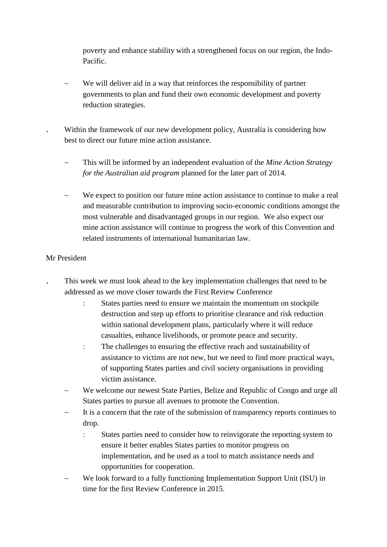poverty and enhance stability with a strengthened focus on our region, the Indo-Pacific.

 We will deliver aid in a way that reinforces the responsibility of partner governments to plan and fund their own economic development and poverty reduction strategies.

 Within the framework of our new development policy, Australia is considering how best to direct our future mine action assistance.

- This will be informed by an independent evaluation of the *Mine Action Strategy for the Australian aid program* planned for the later part of 2014.
- We expect to position our future mine action assistance to continue to make a real and measurable contribution to improving socio-economic conditions amongst the most vulnerable and disadvantaged groups in our region. We also expect our mine action assistance will continue to progress the work of this Convention and related instruments of international humanitarian law.

### Mr President

- This week we must look ahead to the key implementation challenges that need to be addressed as we move closer towards the First Review Conference
	- States parties need to ensure we maintain the momentum on stockpile destruction and step up efforts to prioritise clearance and risk reduction within national development plans, particularly where it will reduce casualties, enhance livelihoods, or promote peace and security.
	- The challenges to ensuring the effective reach and sustainability of assistance to victims are not new, but we need to find more practical ways, of supporting States parties and civil society organisations in providing victim assistance.
- We welcome our newest State Parties, Belize and Republic of Congo and urge all States parties to pursue all avenues to promote the Convention.
- It is a concern that the rate of the submission of transparency reports continues to drop.
	- States parties need to consider how to reinvigorate the reporting system to ensure it better enables States parties to monitor progress on implementation, and be used as a tool to match assistance needs and opportunities for cooperation.
- We look forward to a fully functioning Implementation Support Unit (ISU) in time for the first Review Conference in 2015.